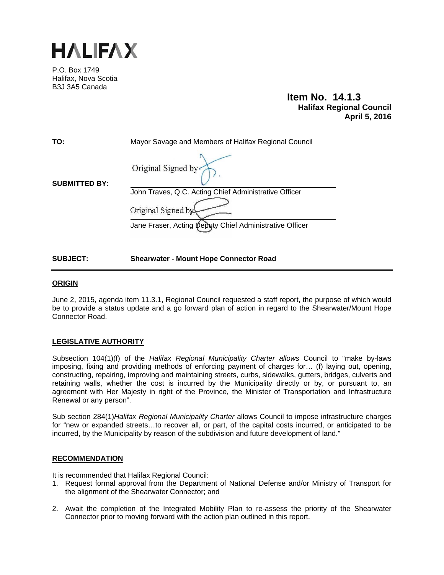

P.O. Box 1749 Halifax, Nova Scotia B3J 3A5 Canada

# **Item No. 14.1.3 Halifax Regional Council April 5, 2016**

| TO:                  | Mayor Savage and Members of Halifax Regional Council    |
|----------------------|---------------------------------------------------------|
| <b>SUBMITTED BY:</b> | Original Signed by<br>٠                                 |
|                      | John Traves, Q.C. Acting Chief Administrative Officer   |
|                      | Original Signed by                                      |
|                      | Jane Fraser, Acting Deputy Chief Administrative Officer |

**SUBJECT: Shearwater - Mount Hope Connector Road**

# **ORIGIN**

June 2, 2015, agenda item 11.3.1, Regional Council requested a staff report, the purpose of which would be to provide a status update and a go forward plan of action in regard to the Shearwater/Mount Hope Connector Road.

# **LEGISLATIVE AUTHORITY**

Subsection 104(1)(f) of the *Halifax Regional Municipality Charter allows* Council to "make by-laws imposing, fixing and providing methods of enforcing payment of charges for… (f) laying out, opening, constructing, repairing, improving and maintaining streets, curbs, sidewalks, gutters, bridges, culverts and retaining walls, whether the cost is incurred by the Municipality directly or by, or pursuant to, an agreement with Her Majesty in right of the Province, the Minister of Transportation and Infrastructure Renewal or any person".

Sub section 284(1)*Halifax Regional Municipality Charter* allows Council to impose infrastructure charges for "new or expanded streets…to recover all, or part, of the capital costs incurred, or anticipated to be incurred, by the Municipality by reason of the subdivision and future development of land."

# **RECOMMENDATION**

It is recommended that Halifax Regional Council:

- 1. Request formal approval from the Department of National Defense and/or Ministry of Transport for the alignment of the Shearwater Connector; and
- 2. Await the completion of the Integrated Mobility Plan to re-assess the priority of the Shearwater Connector prior to moving forward with the action plan outlined in this report.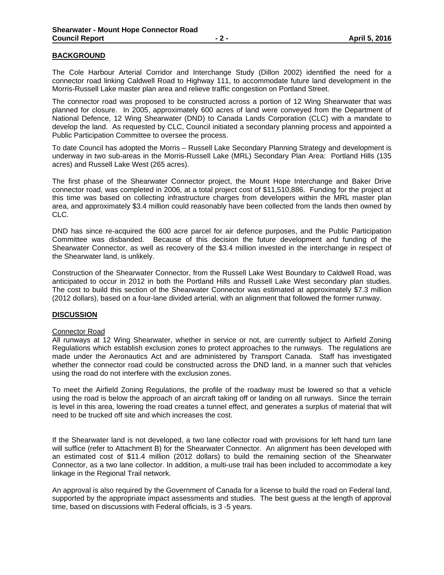# **BACKGROUND**

The Cole Harbour Arterial Corridor and Interchange Study (Dillon 2002) identified the need for a connector road linking Caldwell Road to Highway 111, to accommodate future land development in the Morris-Russell Lake master plan area and relieve traffic congestion on Portland Street.

The connector road was proposed to be constructed across a portion of 12 Wing Shearwater that was planned for closure. In 2005, approximately 600 acres of land were conveyed from the Department of National Defence, 12 Wing Shearwater (DND) to Canada Lands Corporation (CLC) with a mandate to develop the land. As requested by CLC, Council initiated a secondary planning process and appointed a Public Participation Committee to oversee the process.

To date Council has adopted the Morris – Russell Lake Secondary Planning Strategy and development is underway in two sub-areas in the Morris-Russell Lake (MRL) Secondary Plan Area: Portland Hills (135 acres) and Russell Lake West (265 acres).

The first phase of the Shearwater Connector project, the Mount Hope Interchange and Baker Drive connector road, was completed in 2006, at a total project cost of \$11,510,886. Funding for the project at this time was based on collecting infrastructure charges from developers within the MRL master plan area, and approximately \$3.4 million could reasonably have been collected from the lands then owned by CLC.

DND has since re-acquired the 600 acre parcel for air defence purposes, and the Public Participation Committee was disbanded. Because of this decision the future development and funding of the Shearwater Connector, as well as recovery of the \$3.4 million invested in the interchange in respect of the Shearwater land, is unlikely.

Construction of the Shearwater Connector, from the Russell Lake West Boundary to Caldwell Road, was anticipated to occur in 2012 in both the Portland Hills and Russell Lake West secondary plan studies. The cost to build this section of the Shearwater Connector was estimated at approximately \$7.3 million (2012 dollars), based on a four-lane divided arterial, with an alignment that followed the former runway.

# **DISCUSSION**

#### Connector Road

All runways at 12 Wing Shearwater, whether in service or not, are currently subject to Airfield Zoning Regulations which establish exclusion zones to protect approaches to the runways. The regulations are made under the Aeronautics Act and are administered by Transport Canada. Staff has investigated whether the connector road could be constructed across the DND land, in a manner such that vehicles using the road do not interfere with the exclusion zones.

To meet the Airfield Zoning Regulations, the profile of the roadway must be lowered so that a vehicle using the road is below the approach of an aircraft taking off or landing on all runways. Since the terrain is level in this area, lowering the road creates a tunnel effect, and generates a surplus of material that will need to be trucked off site and which increases the cost.

If the Shearwater land is not developed, a two lane collector road with provisions for left hand turn lane will suffice (refer to Attachment B) for the Shearwater Connector. An alignment has been developed with an estimated cost of \$11.4 million (2012 dollars) to build the remaining section of the Shearwater Connector, as a two lane collector. In addition, a multi-use trail has been included to accommodate a key linkage in the Regional Trail network.

An approval is also required by the Government of Canada for a license to build the road on Federal land, supported by the appropriate impact assessments and studies. The best guess at the length of approval time, based on discussions with Federal officials, is 3 -5 years.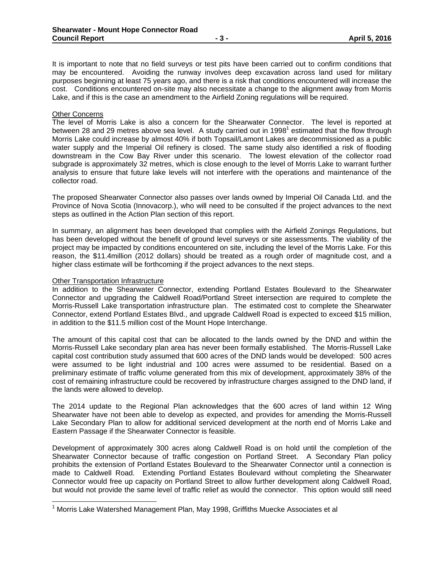It is important to note that no field surveys or test pits have been carried out to confirm conditions that may be encountered. Avoiding the runway involves deep excavation across land used for military purposes beginning at least 75 years ago, and there is a risk that conditions encountered will increase the cost. Conditions encountered on-site may also necessitate a change to the alignment away from Morris Lake, and if this is the case an amendment to the Airfield Zoning regulations will be required.

#### Other Concerns

The level of Morris Lake is also a concern for the Shearwater Connector. The level is reported at between 28 and 29 metres above sea level. A study carried out in 1998<sup>1</sup> estimated that the flow through Morris Lake could increase by almost 40% if both Topsail/Lamont Lakes are decommissioned as a public water supply and the Imperial Oil refinery is closed. The same study also identified a risk of flooding downstream in the Cow Bay River under this scenario. The lowest elevation of the collector road subgrade is approximately 32 metres, which is close enough to the level of Morris Lake to warrant further analysis to ensure that future lake levels will not interfere with the operations and maintenance of the collector road.

The proposed Shearwater Connector also passes over lands owned by Imperial Oil Canada Ltd. and the Province of Nova Scotia (Innovacorp.), who will need to be consulted if the project advances to the next steps as outlined in the Action Plan section of this report.

In summary, an alignment has been developed that complies with the Airfield Zonings Regulations, but has been developed without the benefit of ground level surveys or site assessments. The viability of the project may be impacted by conditions encountered on site, including the level of the Morris Lake. For this reason, the \$11.4million (2012 dollars) should be treated as a rough order of magnitude cost, and a higher class estimate will be forthcoming if the project advances to the next steps.

#### Other Transportation Infrastructure

In addition to the Shearwater Connector, extending Portland Estates Boulevard to the Shearwater Connector and upgrading the Caldwell Road/Portland Street intersection are required to complete the Morris-Russell Lake transportation infrastructure plan. The estimated cost to complete the Shearwater Connector, extend Portland Estates Blvd., and upgrade Caldwell Road is expected to exceed \$15 million, in addition to the \$11.5 million cost of the Mount Hope Interchange.

The amount of this capital cost that can be allocated to the lands owned by the DND and within the Morris-Russell Lake secondary plan area has never been formally established. The Morris-Russell Lake capital cost contribution study assumed that 600 acres of the DND lands would be developed: 500 acres were assumed to be light industrial and 100 acres were assumed to be residential. Based on a preliminary estimate of traffic volume generated from this mix of development, approximately 38% of the cost of remaining infrastructure could be recovered by infrastructure charges assigned to the DND land, if the lands were allowed to develop.

The 2014 update to the Regional Plan acknowledges that the 600 acres of land within 12 Wing Shearwater have not been able to develop as expected, and provides for amending the Morris-Russell Lake Secondary Plan to allow for additional serviced development at the north end of Morris Lake and Eastern Passage if the Shearwater Connector is feasible.

Development of approximately 300 acres along Caldwell Road is on hold until the completion of the Shearwater Connector because of traffic congestion on Portland Street. A Secondary Plan policy prohibits the extension of Portland Estates Boulevard to the Shearwater Connector until a connection is made to Caldwell Road. Extending Portland Estates Boulevard without completing the Shearwater Connector would free up capacity on Portland Street to allow further development along Caldwell Road, but would not provide the same level of traffic relief as would the connector. This option would still need

<sup>&</sup>lt;sup>1</sup> Morris Lake Watershed Management Plan, May 1998, Griffiths Muecke Associates et al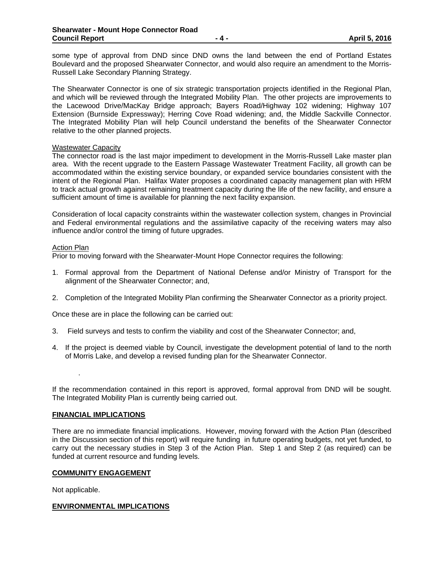some type of approval from DND since DND owns the land between the end of Portland Estates Boulevard and the proposed Shearwater Connector, and would also require an amendment to the Morris-Russell Lake Secondary Planning Strategy.

The Shearwater Connector is one of six strategic transportation projects identified in the Regional Plan, and which will be reviewed through the Integrated Mobility Plan. The other projects are improvements to the Lacewood Drive/MacKay Bridge approach; Bayers Road/Highway 102 widening; Highway 107 Extension (Burnside Expressway); Herring Cove Road widening; and, the Middle Sackville Connector. The Integrated Mobility Plan will help Council understand the benefits of the Shearwater Connector relative to the other planned projects.

#### Wastewater Capacity

The connector road is the last major impediment to development in the Morris-Russell Lake master plan area. With the recent upgrade to the Eastern Passage Wastewater Treatment Facility, all growth can be accommodated within the existing service boundary, or expanded service boundaries consistent with the intent of the Regional Plan. Halifax Water proposes a coordinated capacity management plan with HRM to track actual growth against remaining treatment capacity during the life of the new facility, and ensure a sufficient amount of time is available for planning the next facility expansion.

Consideration of local capacity constraints within the wastewater collection system, changes in Provincial and Federal environmental regulations and the assimilative capacity of the receiving waters may also influence and/or control the timing of future upgrades.

#### Action Plan

Prior to moving forward with the Shearwater-Mount Hope Connector requires the following:

- 1. Formal approval from the Department of National Defense and/or Ministry of Transport for the alignment of the Shearwater Connector; and,
- 2. Completion of the Integrated Mobility Plan confirming the Shearwater Connector as a priority project.

Once these are in place the following can be carried out:

- 3. Field surveys and tests to confirm the viability and cost of the Shearwater Connector; and,
- 4. If the project is deemed viable by Council, investigate the development potential of land to the north of Morris Lake, and develop a revised funding plan for the Shearwater Connector.

If the recommendation contained in this report is approved, formal approval from DND will be sought. The Integrated Mobility Plan is currently being carried out.

#### **FINANCIAL IMPLICATIONS**

There are no immediate financial implications. However, moving forward with the Action Plan (described in the Discussion section of this report) will require funding in future operating budgets, not yet funded, to carry out the necessary studies in Step 3 of the Action Plan. Step 1 and Step 2 (as required) can be funded at current resource and funding levels.

# **COMMUNITY ENGAGEMENT**

Not applicable.

.

# **ENVIRONMENTAL IMPLICATIONS**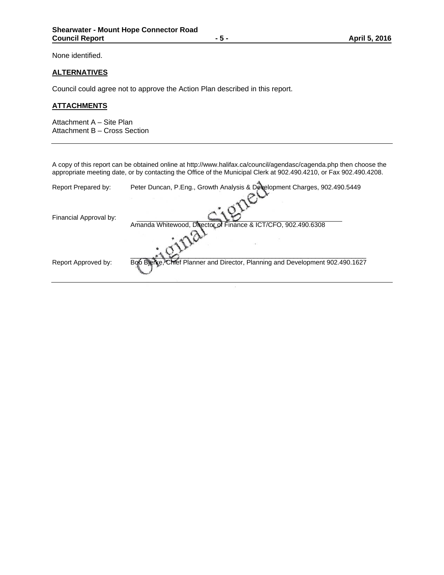None identified.

# **ALTERNATIVES**

Council could agree not to approve the Action Plan described in this report.

# **ATTACHMENTS**

Attachment A – Site Plan Attachment B – Cross Section

A copy of this report can be obtained online at http://www.halifax.ca/council/agendasc/cagenda.php then choose the appropriate meeting date, or by contacting the Office of the Municipal Clerk at 902.490.4210, or Fax 902.490.4208.

| Report Prepared by:    | Peter Duncan, P.Eng., Growth Analysis & Development Charges, 902.490.5449     |
|------------------------|-------------------------------------------------------------------------------|
| Financial Approval by: | Amanda Whitewood, Director of Finance & ICT/CFO, 902.490.6308                 |
|                        |                                                                               |
| Report Approved by:    | Bob Blerke, Chief Planner and Director, Planning and Development 902.490.1627 |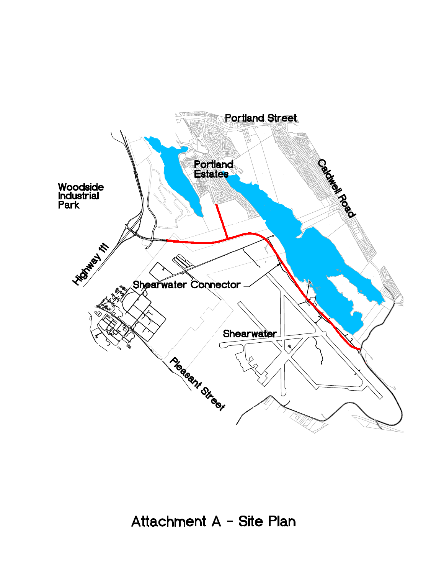